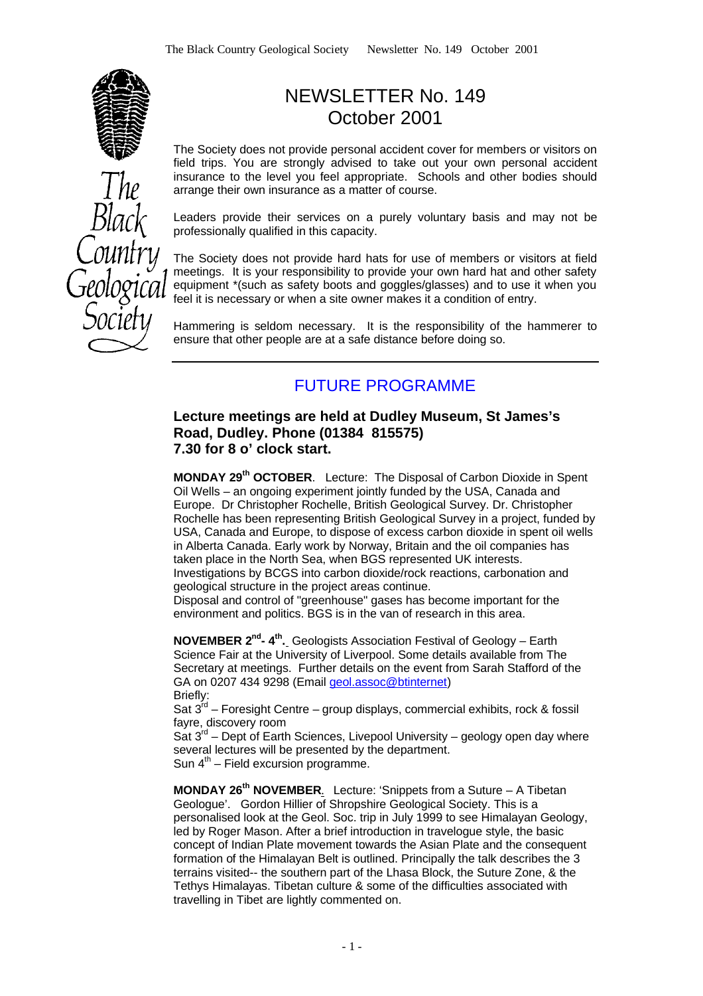

# NEWSLETTER No. 149 October 2001

The Society does not provide personal accident cover for members or visitors on field trips. You are strongly advised to take out your own personal accident insurance to the level you feel appropriate. Schools and other bodies should arrange their own insurance as a matter of course.

Leaders provide their services on a purely voluntary basis and may not be professionally qualified in this capacity.

The Society does not provide hard hats for use of members or visitors at field meetings. It is your responsibility to provide your own hard hat and other safety equipment \*(such as safety boots and goggles/glasses) and to use it when you feel it is necessary or when a site owner makes it a condition of entry.

Hammering is seldom necessary. It is the responsibility of the hammerer to ensure that other people are at a safe distance before doing so.

# FUTURE PROGRAMME

### **Lecture meetings are held at Dudley Museum, St James's Road, Dudley. Phone (01384 815575) 7.30 for 8 o' clock start.**

**MONDAY 29th OCTOBER**. Lecture: The Disposal of Carbon Dioxide in Spent Oil Wells – an ongoing experiment jointly funded by the USA, Canada and Europe. Dr Christopher Rochelle, British Geological Survey. Dr. Christopher Rochelle has been representing British Geological Survey in a project, funded by USA, Canada and Europe, to dispose of excess carbon dioxide in spent oil wells in Alberta Canada. Early work by Norway, Britain and the oil companies has taken place in the North Sea, when BGS represented UK interests. Investigations by BCGS into carbon dioxide/rock reactions, carbonation and geological structure in the project areas continue.

Disposal and control of "greenhouse" gases has become important for the environment and politics. BGS is in the van of research in this area.

**NOVEMBER 2<sup>nd</sup>-4<sup>th</sup>.** Geologists Association Festival of Geology – Earth Science Fair at the University of Liverpool. Some details available from The Secretary at meetings. Further details on the event from Sarah Stafford of the GA on 0207 434 9298 (Email geol.assoc@btinternet) Briefly:

Sat  $3^{rd}$  – Foresight Centre – group displays, commercial exhibits, rock & fossil fayre, discovery room

Sat  $3<sup>rd</sup>$  – Dept of Earth Sciences, Livepool University – geology open day where several lectures will be presented by the department.

Sun  $4<sup>th</sup>$  – Field excursion programme.

**MONDAY 26th NOVEMBER**. Lecture: 'Snippets from a Suture – A Tibetan Geologue'. Gordon Hillier of Shropshire Geological Society. This is a personalised look at the Geol. Soc. trip in July 1999 to see Himalayan Geology, led by Roger Mason. After a brief introduction in travelogue style, the basic concept of Indian Plate movement towards the Asian Plate and the consequent formation of the Himalayan Belt is outlined. Principally the talk describes the 3 terrains visited-- the southern part of the Lhasa Block, the Suture Zone, & the Tethys Himalayas. Tibetan culture & some of the difficulties associated with travelling in Tibet are lightly commented on.

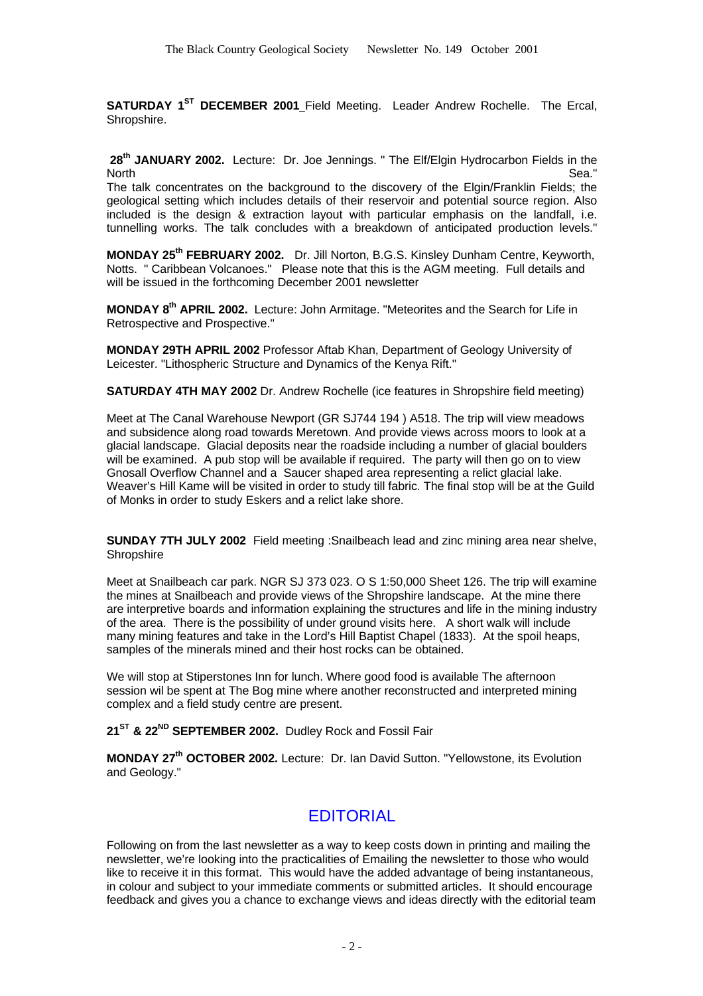**SATURDAY 1<sup>ST</sup> DECEMBER 2001 Field Meeting. Leader Andrew Rochelle. The Ercal,** Shropshire.

 **28th JANUARY 2002.** Lecture: Dr. Joe Jennings. " The Elf/Elgin Hydrocarbon Fields in the North Sea." And the search of the search of the search of the search of the Sea."

The talk concentrates on the background to the discovery of the Elgin/Franklin Fields; the geological setting which includes details of their reservoir and potential source region. Also included is the design & extraction layout with particular emphasis on the landfall, i.e. tunnelling works. The talk concludes with a breakdown of anticipated production levels."

**MONDAY 25th FEBRUARY 2002.** Dr. Jill Norton, B.G.S. Kinsley Dunham Centre, Keyworth, Notts. " Caribbean Volcanoes." Please note that this is the AGM meeting. Full details and will be issued in the forthcoming December 2001 newsletter

**MONDAY 8th APRIL 2002.** Lecture: John Armitage. "Meteorites and the Search for Life in Retrospective and Prospective."

**MONDAY 29TH APRIL 2002** Professor Aftab Khan, Department of Geology University of Leicester. "Lithospheric Structure and Dynamics of the Kenya Rift."

**SATURDAY 4TH MAY 2002** Dr. Andrew Rochelle (ice features in Shropshire field meeting)

Meet at The Canal Warehouse Newport (GR SJ744 194 ) A518. The trip will view meadows and subsidence along road towards Meretown. And provide views across moors to look at a glacial landscape. Glacial deposits near the roadside including a number of glacial boulders will be examined. A pub stop will be available if required. The party will then go on to view Gnosall Overflow Channel and a Saucer shaped area representing a relict glacial lake. Weaver's Hill Kame will be visited in order to study till fabric. The final stop will be at the Guild of Monks in order to study Eskers and a relict lake shore.

**SUNDAY 7TH JULY 2002** Field meeting :Snailbeach lead and zinc mining area near shelve, **Shropshire** 

Meet at Snailbeach car park. NGR SJ 373 023. O S 1:50,000 Sheet 126. The trip will examine the mines at Snailbeach and provide views of the Shropshire landscape. At the mine there are interpretive boards and information explaining the structures and life in the mining industry of the area. There is the possibility of under ground visits here. A short walk will include many mining features and take in the Lord's Hill Baptist Chapel (1833). At the spoil heaps, samples of the minerals mined and their host rocks can be obtained.

We will stop at Stiperstones Inn for lunch. Where good food is available The afternoon session wil be spent at The Bog mine where another reconstructed and interpreted mining complex and a field study centre are present.

**21ST & 22ND SEPTEMBER 2002.** Dudley Rock and Fossil Fair

**MONDAY 27th OCTOBER 2002.** Lecture: Dr. Ian David Sutton. "Yellowstone, its Evolution and Geology."

### EDITORIAL

Following on from the last newsletter as a way to keep costs down in printing and mailing the newsletter, we're looking into the practicalities of Emailing the newsletter to those who would like to receive it in this format. This would have the added advantage of being instantaneous, in colour and subject to your immediate comments or submitted articles. It should encourage feedback and gives you a chance to exchange views and ideas directly with the editorial team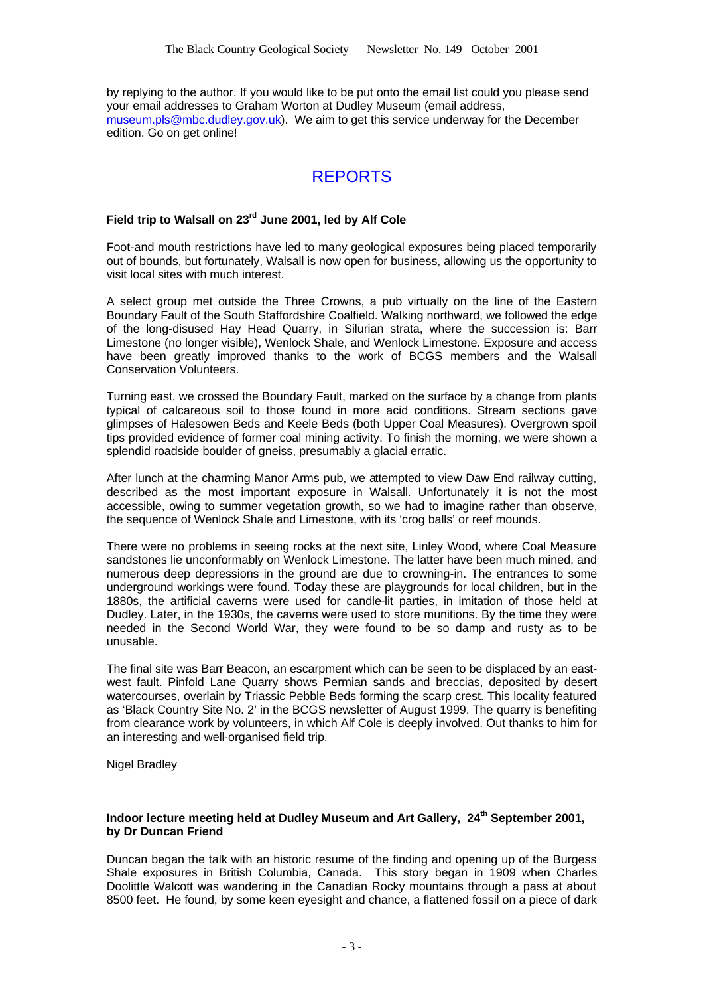by replying to the author. If you would like to be put onto the email list could you please send your email addresses to Graham Worton at Dudley Museum (email address, museum.pls@mbc.dudley.gov.uk). We aim to get this service underway for the December edition. Go on get online!

# REPORTS

### **Field trip to Walsall on 23rd June 2001, led by Alf Cole**

Foot-and mouth restrictions have led to many geological exposures being placed temporarily out of bounds, but fortunately, Walsall is now open for business, allowing us the opportunity to visit local sites with much interest.

A select group met outside the Three Crowns, a pub virtually on the line of the Eastern Boundary Fault of the South Staffordshire Coalfield. Walking northward, we followed the edge of the long-disused Hay Head Quarry, in Silurian strata, where the succession is: Barr Limestone (no longer visible), Wenlock Shale, and Wenlock Limestone. Exposure and access have been greatly improved thanks to the work of BCGS members and the Walsall Conservation Volunteers.

Turning east, we crossed the Boundary Fault, marked on the surface by a change from plants typical of calcareous soil to those found in more acid conditions. Stream sections gave glimpses of Halesowen Beds and Keele Beds (both Upper Coal Measures). Overgrown spoil tips provided evidence of former coal mining activity. To finish the morning, we were shown a splendid roadside boulder of gneiss, presumably a glacial erratic.

After lunch at the charming Manor Arms pub, we attempted to view Daw End railway cutting, described as the most important exposure in Walsall. Unfortunately it is not the most accessible, owing to summer vegetation growth, so we had to imagine rather than observe, the sequence of Wenlock Shale and Limestone, with its 'crog balls' or reef mounds.

There were no problems in seeing rocks at the next site, Linley Wood, where Coal Measure sandstones lie unconformably on Wenlock Limestone. The latter have been much mined, and numerous deep depressions in the ground are due to crowning-in. The entrances to some underground workings were found. Today these are playgrounds for local children, but in the 1880s, the artificial caverns were used for candle-lit parties, in imitation of those held at Dudley. Later, in the 1930s, the caverns were used to store munitions. By the time they were needed in the Second World War, they were found to be so damp and rusty as to be unusable.

The final site was Barr Beacon, an escarpment which can be seen to be displaced by an eastwest fault. Pinfold Lane Quarry shows Permian sands and breccias, deposited by desert watercourses, overlain by Triassic Pebble Beds forming the scarp crest. This locality featured as 'Black Country Site No. 2' in the BCGS newsletter of August 1999. The quarry is benefiting from clearance work by volunteers, in which Alf Cole is deeply involved. Out thanks to him for an interesting and well-organised field trip.

Nigel Bradley

#### **Indoor lecture meeting held at Dudley Museum and Art Gallery, 24th September 2001, by Dr Duncan Friend**

Duncan began the talk with an historic resume of the finding and opening up of the Burgess Shale exposures in British Columbia, Canada. This story began in 1909 when Charles Doolittle Walcott was wandering in the Canadian Rocky mountains through a pass at about 8500 feet. He found, by some keen eyesight and chance, a flattened fossil on a piece of dark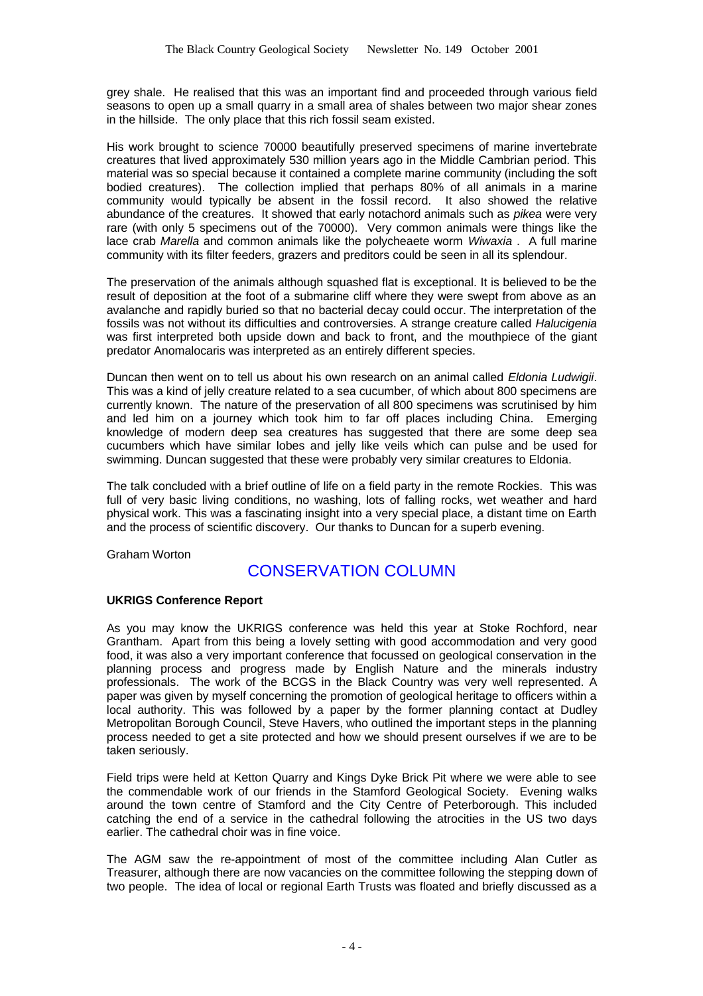grey shale. He realised that this was an important find and proceeded through various field seasons to open up a small quarry in a small area of shales between two major shear zones in the hillside. The only place that this rich fossil seam existed.

His work brought to science 70000 beautifully preserved specimens of marine invertebrate creatures that lived approximately 530 million years ago in the Middle Cambrian period. This material was so special because it contained a complete marine community (including the soft bodied creatures). The collection implied that perhaps 80% of all animals in a marine community would typically be absent in the fossil record. It also showed the relative abundance of the creatures. It showed that early notachord animals such as *pikea* were very rare (with only 5 specimens out of the 70000). Very common animals were things like the lace crab *Marella* and common animals like the polycheaete worm *Wiwaxia* . A full marine community with its filter feeders, grazers and preditors could be seen in all its splendour.

The preservation of the animals although squashed flat is exceptional. It is believed to be the result of deposition at the foot of a submarine cliff where they were swept from above as an avalanche and rapidly buried so that no bacterial decay could occur. The interpretation of the fossils was not without its difficulties and controversies. A strange creature called *Halucigenia* was first interpreted both upside down and back to front, and the mouthpiece of the giant predator Anomalocaris was interpreted as an entirely different species.

Duncan then went on to tell us about his own research on an animal called *Eldonia Ludwigii*. This was a kind of jelly creature related to a sea cucumber, of which about 800 specimens are currently known. The nature of the preservation of all 800 specimens was scrutinised by him and led him on a journey which took him to far off places including China. Emerging knowledge of modern deep sea creatures has suggested that there are some deep sea cucumbers which have similar lobes and jelly like veils which can pulse and be used for swimming. Duncan suggested that these were probably very similar creatures to Eldonia.

The talk concluded with a brief outline of life on a field party in the remote Rockies. This was full of very basic living conditions, no washing, lots of falling rocks, wet weather and hard physical work. This was a fascinating insight into a very special place, a distant time on Earth and the process of scientific discovery. Our thanks to Duncan for a superb evening.

Graham Worton

### CONSERVATION COLUMN

### **UKRIGS Conference Report**

As you may know the UKRIGS conference was held this year at Stoke Rochford, near Grantham. Apart from this being a lovely setting with good accommodation and very good food, it was also a very important conference that focussed on geological conservation in the planning process and progress made by English Nature and the minerals industry professionals. The work of the BCGS in the Black Country was very well represented. A paper was given by myself concerning the promotion of geological heritage to officers within a local authority. This was followed by a paper by the former planning contact at Dudley Metropolitan Borough Council, Steve Havers, who outlined the important steps in the planning process needed to get a site protected and how we should present ourselves if we are to be taken seriously.

Field trips were held at Ketton Quarry and Kings Dyke Brick Pit where we were able to see the commendable work of our friends in the Stamford Geological Society. Evening walks around the town centre of Stamford and the City Centre of Peterborough. This included catching the end of a service in the cathedral following the atrocities in the US two days earlier. The cathedral choir was in fine voice.

The AGM saw the re-appointment of most of the committee including Alan Cutler as Treasurer, although there are now vacancies on the committee following the stepping down of two people. The idea of local or regional Earth Trusts was floated and briefly discussed as a